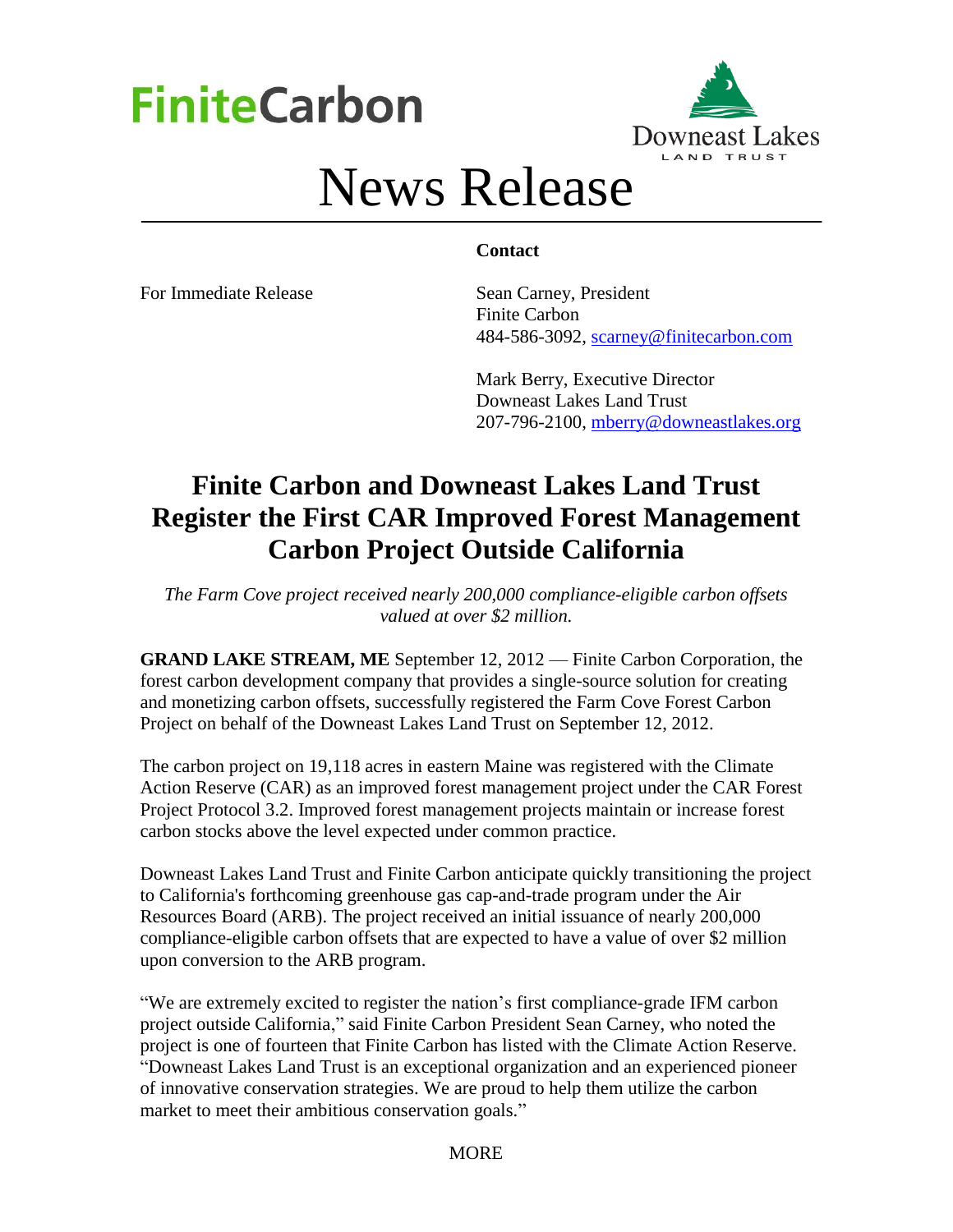# **FiniteCarbon**



## News Release

## **Contact**

For Immediate Release Sean Carney, President Finite Carbon 484-586-3092, [scarney@finitecarbon.com](mailto:scarney@finitecarbon.com)

> Mark Berry, Executive Director Downeast Lakes Land Trust 207-796-2100, [mberry@downeastlakes.org](mailto:mberry@downeastlakes.org)

## **Finite Carbon and Downeast Lakes Land Trust Register the First CAR Improved Forest Management Carbon Project Outside California**

*The Farm Cove project received nearly 200,000 compliance-eligible carbon offsets valued at over \$2 million.*

**GRAND LAKE STREAM, ME** September 12, 2012 — Finite Carbon Corporation, the forest carbon development company that provides a [single-source solution](http://www.finitecarbon.com/services/index.html) for creating and monetizing carbon offsets, successfully registered the Farm Cove Forest Carbon Project on behalf of the Downeast Lakes Land Trust on September 12, 2012.

The carbon project on 19,118 acres in eastern Maine was registered with the Climate Action Reserve (CAR) as an improved forest management project under the CAR Forest Project Protocol 3.2. Improved forest management projects maintain or increase forest carbon stocks above the level expected under common practice.

Downeast Lakes Land Trust and Finite Carbon anticipate quickly transitioning the project to California's forthcoming greenhouse gas cap-and-trade program under the Air Resources Board (ARB). The project received an initial issuance of nearly 200,000 compliance-eligible carbon offsets that are expected to have a value of over \$2 million upon conversion to the ARB program.

"We are extremely excited to register the nation's first compliance-grade IFM carbon project outside California," said Finite Carbon President Sean Carney, who noted the project is one of fourteen that Finite Carbon has listed with the Climate Action Reserve. "Downeast Lakes Land Trust is an exceptional organization and an experienced pioneer of innovative conservation strategies. We are proud to help them utilize the carbon market to meet their ambitious conservation goals."